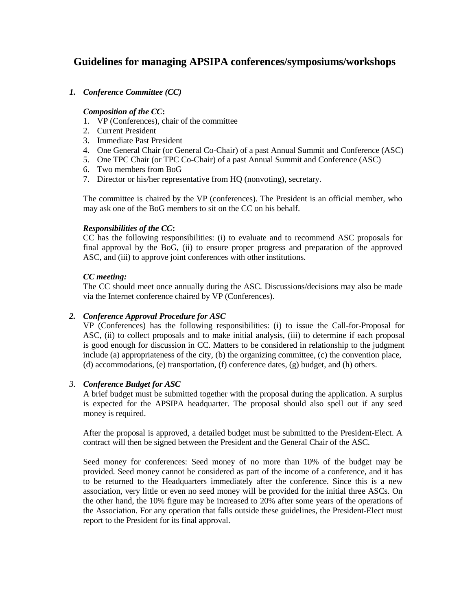# **Guidelines for managing APSIPA conferences/symposiums/workshops**

## *1. Conference Committee (CC)*

### *Composition of the CC***:**

- 1. VP (Conferences), chair of the committee
- 2. Current President
- 3. Immediate Past President
- 4. One General Chair (or General Co-Chair) of a past Annual Summit and Conference (ASC)
- 5. One TPC Chair (or TPC Co-Chair) of a past Annual Summit and Conference (ASC)
- 6. Two members from BoG
- 7. Director or his/her representative from HQ (nonvoting), secretary.

The committee is chaired by the VP (conferences). The President is an official member, who may ask one of the BoG members to sit on the CC on his behalf.

### *Responsibilities of the CC***:**

CC has the following responsibilities: (i) to evaluate and to recommend ASC proposals for final approval by the BoG, (ii) to ensure proper progress and preparation of the approved ASC, and (iii) to approve joint conferences with other institutions.

### *CC meeting:*

The CC should meet once annually during the ASC. Discussions/decisions may also be made via the Internet conference chaired by VP (Conferences).

## *2. Conference Approval Procedure for ASC*

VP (Conferences) has the following responsibilities: (i) to issue the Call-for-Proposal for ASC, (ii) to collect proposals and to make initial analysis, (iii) to determine if each proposal is good enough for discussion in CC. Matters to be considered in relationship to the judgment include (a) appropriateness of the city, (b) the organizing committee, (c) the convention place, (d) accommodations, (e) transportation, (f) conference dates, (g) budget, and (h) others.

#### *3. Conference Budget for ASC*

A brief budget must be submitted together with the proposal during the application. A surplus is expected for the APSIPA headquarter. The proposal should also spell out if any seed money is required.

After the proposal is approved, a detailed budget must be submitted to the President-Elect. A contract will then be signed between the President and the General Chair of the ASC.

Seed money for conferences: Seed money of no more than 10% of the budget may be provided. Seed money cannot be considered as part of the income of a conference, and it has to be returned to the Headquarters immediately after the conference. Since this is a new association, very little or even no seed money will be provided for the initial three ASCs. On the other hand, the 10% figure may be increased to 20% after some years of the operations of the Association. For any operation that falls outside these guidelines, the President-Elect must report to the President for its final approval.